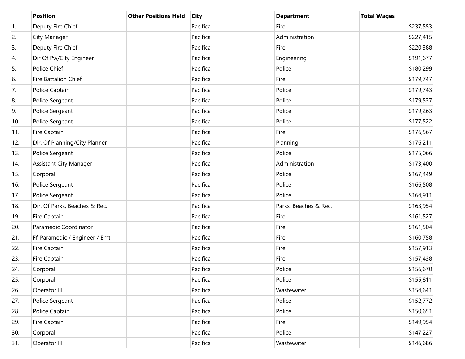|                  | <b>Position</b>               | <b>Other Positions Held</b> | <b>City</b> | <b>Department</b>     | <b>Total Wages</b> |
|------------------|-------------------------------|-----------------------------|-------------|-----------------------|--------------------|
| $\overline{1}$ . | Deputy Fire Chief             |                             | Pacifica    | Fire                  | \$237,553          |
| 2.               | City Manager                  |                             | Pacifica    | Administration        | \$227,415          |
| 3.               | Deputy Fire Chief             |                             | Pacifica    | Fire                  | \$220,388          |
| 4.               | Dir Of Pw/City Engineer       |                             | Pacifica    | Engineering           | \$191,677          |
| 5.               | Police Chief                  |                             | Pacifica    | Police                | \$180,299          |
| 6.               | <b>Fire Battalion Chief</b>   |                             | Pacifica    | Fire                  | \$179,747          |
| 7.               | Police Captain                |                             | Pacifica    | Police                | \$179,743          |
| 8.               | Police Sergeant               |                             | Pacifica    | Police                | \$179,537          |
| 9.               | Police Sergeant               |                             | Pacifica    | Police                | \$179,263          |
| 10.              | Police Sergeant               |                             | Pacifica    | Police                | \$177,522          |
| 11.              | Fire Captain                  |                             | Pacifica    | Fire                  | \$176,567          |
| 12.              | Dir. Of Planning/City Planner |                             | Pacifica    | Planning              | \$176,211          |
| 13.              | Police Sergeant               |                             | Pacifica    | Police                | \$175,066          |
| 14.              | <b>Assistant City Manager</b> |                             | Pacifica    | Administration        | \$173,400          |
| 15.              | Corporal                      |                             | Pacifica    | Police                | \$167,449          |
| 16.              | Police Sergeant               |                             | Pacifica    | Police                | \$166,508          |
| 17.              | Police Sergeant               |                             | Pacifica    | Police                | \$164,911          |
| 18.              | Dir. Of Parks, Beaches & Rec. |                             | Pacifica    | Parks, Beaches & Rec. | \$163,954          |
| 19.              | Fire Captain                  |                             | Pacifica    | Fire                  | \$161,527          |
| 20.              | Paramedic Coordinator         |                             | Pacifica    | Fire                  | \$161,504          |
| 21.              | Ff-Paramedic / Engineer / Emt |                             | Pacifica    | Fire                  | \$160,758          |
| 22.              | Fire Captain                  |                             | Pacifica    | Fire                  | \$157,913          |
| 23.              | Fire Captain                  |                             | Pacifica    | Fire                  | \$157,438          |
| 24.              | Corporal                      |                             | Pacifica    | Police                | \$156,670          |
| 25.              | Corporal                      |                             | Pacifica    | Police                | \$155,811          |
| 26.              | Operator III                  |                             | Pacifica    | Wastewater            | \$154,641          |
| 27.              | Police Sergeant               |                             | Pacifica    | Police                | \$152,772          |
| 28.              | Police Captain                |                             | Pacifica    | Police                | \$150,651          |
| 29.              | Fire Captain                  |                             | Pacifica    | Fire                  | \$149,954          |
| 30.              | Corporal                      |                             | Pacifica    | Police                | \$147,227          |
| 31.              | Operator III                  |                             | Pacifica    | Wastewater            | \$146,686          |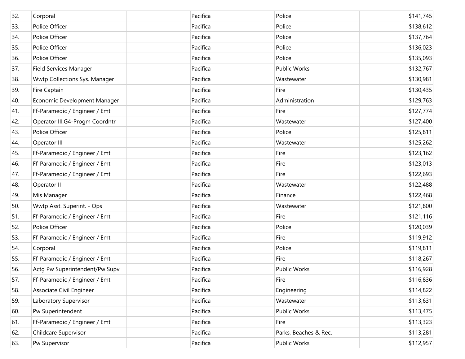| 32. | Corporal                        | Pacifica | Police                | \$141,745 |
|-----|---------------------------------|----------|-----------------------|-----------|
| 33. | Police Officer                  | Pacifica | Police                | \$138,612 |
| 34. | Police Officer                  | Pacifica | Police                | \$137,764 |
| 35. | Police Officer                  | Pacifica | Police                | \$136,023 |
| 36. | Police Officer                  | Pacifica | Police                | \$135,093 |
| 37. | Field Services Manager          | Pacifica | <b>Public Works</b>   | \$132,767 |
| 38. | Wwtp Collections Sys. Manager   | Pacifica | Wastewater            | \$130,981 |
| 39. | Fire Captain                    | Pacifica | Fire                  | \$130,435 |
| 40. | Economic Development Manager    | Pacifica | Administration        | \$129,763 |
| 41. | Ff-Paramedic / Engineer / Emt   | Pacifica | Fire                  | \$127,774 |
| 42. | Operator III, G4-Progm Coordntr | Pacifica | Wastewater            | \$127,400 |
| 43. | Police Officer                  | Pacifica | Police                | \$125,811 |
| 44. | Operator III                    | Pacifica | Wastewater            | \$125,262 |
| 45. | Ff-Paramedic / Engineer / Emt   | Pacifica | Fire                  | \$123,162 |
| 46. | Ff-Paramedic / Engineer / Emt   | Pacifica | Fire                  | \$123,013 |
| 47. | Ff-Paramedic / Engineer / Emt   | Pacifica | Fire                  | \$122,693 |
| 48. | Operator II                     | Pacifica | Wastewater            | \$122,488 |
| 49. | Mis Manager                     | Pacifica | Finance               | \$122,468 |
| 50. | Wwtp Asst. Superint. - Ops      | Pacifica | Wastewater            | \$121,800 |
| 51. | Ff-Paramedic / Engineer / Emt   | Pacifica | Fire                  | \$121,116 |
| 52. | Police Officer                  | Pacifica | Police                | \$120,039 |
| 53. | Ff-Paramedic / Engineer / Emt   | Pacifica | Fire                  | \$119,912 |
| 54. | Corporal                        | Pacifica | Police                | \$119,811 |
| 55. | Ff-Paramedic / Engineer / Emt   | Pacifica | Fire                  | \$118,267 |
| 56. | Actg Pw Superintendent/Pw Supv  | Pacifica | Public Works          | \$116,928 |
| 57. | Ff-Paramedic / Engineer / Emt   | Pacifica | Fire                  | \$116,836 |
| 58. | Associate Civil Engineer        | Pacifica | Engineering           | \$114,822 |
| 59. | Laboratory Supervisor           | Pacifica | Wastewater            | \$113,631 |
| 60. | Pw Superintendent               | Pacifica | Public Works          | \$113,475 |
| 61. | Ff-Paramedic / Engineer / Emt   | Pacifica | Fire                  | \$113,323 |
| 62. | Childcare Supervisor            | Pacifica | Parks, Beaches & Rec. | \$113,281 |
| 63. | Pw Supervisor                   | Pacifica | Public Works          | \$112,957 |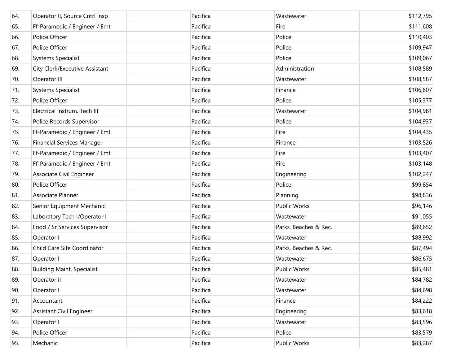| 64. | Operator II, Source Cntrl Insp    | Pacifica | Wastewater            | \$112,795 |
|-----|-----------------------------------|----------|-----------------------|-----------|
| 65. | Ff-Paramedic / Engineer / Emt     | Pacifica | Fire                  | \$111,608 |
| 66. | Police Officer                    | Pacifica | Police                | \$110,403 |
| 67. | Police Officer                    | Pacifica | Police                | \$109,947 |
| 68. | Systems Specialist                | Pacifica | Police                | \$109,067 |
| 69. | City Clerk/Executive Assistant    | Pacifica | Administration        | \$108,589 |
| 70. | Operator III                      | Pacifica | Wastewater            | \$108,587 |
| 71. | Systems Specialist                | Pacifica | Finance               | \$106,807 |
| 72. | Police Officer                    | Pacifica | Police                | \$105,377 |
| 73. | Electrical Instrum. Tech III      | Pacifica | Wastewater            | \$104,981 |
| 74. | Police Records Supervisor         | Pacifica | Police                | \$104,937 |
| 75. | Ff-Paramedic / Engineer / Emt     | Pacifica | Fire                  | \$104,435 |
| 76. | <b>Financial Services Manager</b> | Pacifica | Finance               | \$103,526 |
| 77. | Ff-Paramedic / Engineer / Emt     | Pacifica | Fire                  | \$103,407 |
| 78. | Ff-Paramedic / Engineer / Emt     | Pacifica | Fire                  | \$103,148 |
| 79. | Associate Civil Engineer          | Pacifica | Engineering           | \$102,247 |
| 80. | Police Officer                    | Pacifica | Police                | \$99,854  |
| 81. | Associate Planner                 | Pacifica | Planning              | \$98,836  |
| 82. | Senior Equipment Mechanic         | Pacifica | <b>Public Works</b>   | \$96,146  |
| 83. | Laboratory Tech I/Operator I      | Pacifica | Wastewater            | \$91,055  |
| 84. | Food / Sr Services Supervisor     | Pacifica | Parks, Beaches & Rec. | \$89,652  |
| 85. | Operator I                        | Pacifica | Wastewater            | \$88,992  |
| 86. | Child Care Site Coordinator       | Pacifica | Parks, Beaches & Rec. | \$87,494  |
| 87. | Operator I                        | Pacifica | Wastewater            | \$86,675  |
| 88. | <b>Building Maint. Specialist</b> | Pacifica | <b>Public Works</b>   | \$85,481  |
| 89. | Operator II                       | Pacifica | Wastewater            | \$84,782  |
| 90. | Operator I                        | Pacifica | Wastewater            | \$84,698  |
| 91. | Accountant                        | Pacifica | Finance               | \$84,222  |
| 92. | <b>Assistant Civil Engineer</b>   | Pacifica | Engineering           | \$83,618  |
| 93. | Operator I                        | Pacifica | Wastewater            | \$83,596  |
| 94. | Police Officer                    | Pacifica | Police                | \$83,579  |
| 95. | Mechanic                          | Pacifica | Public Works          | \$83,287  |